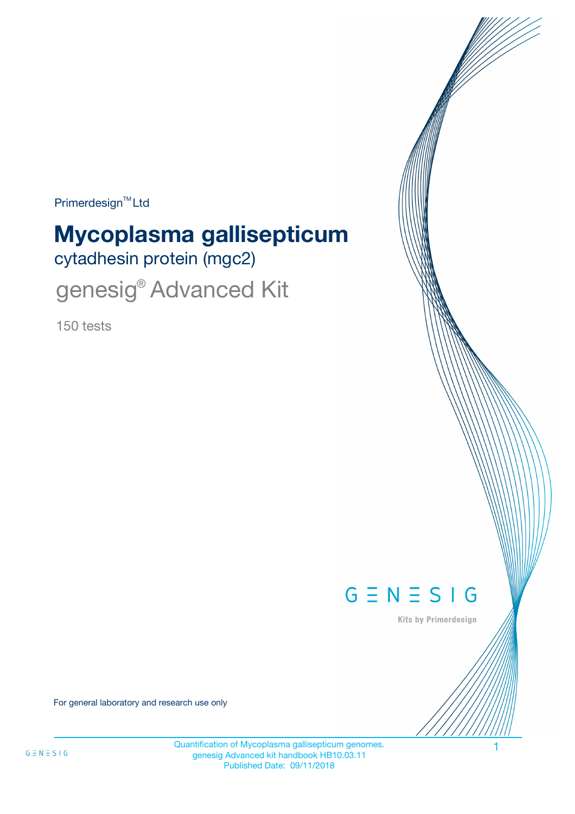$Primerdesign^{\text{TM}}$ Ltd

# **Mycoplasma gallisepticum**

cytadhesin protein (mgc2)

genesig® Advanced Kit

150 tests



Kits by Primerdesign

For general laboratory and research use only

Quantification of Mycoplasma gallisepticum genomes. 1 genesig Advanced kit handbook HB10.03.11 Published Date: 09/11/2018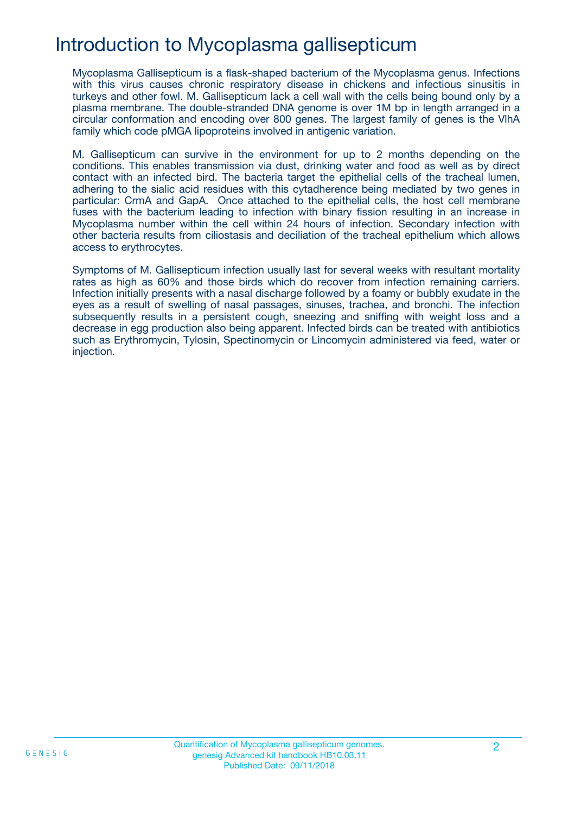# Introduction to Mycoplasma gallisepticum

Mycoplasma Gallisepticum is a flask-shaped bacterium of the Mycoplasma genus. Infections with this virus causes chronic respiratory disease in chickens and infectious sinusitis in turkeys and other fowl. M. Gallisepticum lack a cell wall with the cells being bound only by a plasma membrane. The double-stranded DNA genome is over 1M bp in length arranged in a circular conformation and encoding over 800 genes. The largest family of genes is the VlhA family which code pMGA lipoproteins involved in antigenic variation.

M. Gallisepticum can survive in the environment for up to 2 months depending on the conditions. This enables transmission via dust, drinking water and food as well as by direct contact with an infected bird. The bacteria target the epithelial cells of the tracheal lumen, adhering to the sialic acid residues with this cytadherence being mediated by two genes in particular: CrmA and GapA. Once attached to the epithelial cells, the host cell membrane fuses with the bacterium leading to infection with binary fission resulting in an increase in Mycoplasma number within the cell within 24 hours of infection. Secondary infection with other bacteria results from ciliostasis and deciliation of the tracheal epithelium which allows access to erythrocytes.

Symptoms of M. Gallisepticum infection usually last for several weeks with resultant mortality rates as high as 60% and those birds which do recover from infection remaining carriers. Infection initially presents with a nasal discharge followed by a foamy or bubbly exudate in the eyes as a result of swelling of nasal passages, sinuses, trachea, and bronchi. The infection subsequently results in a persistent cough, sneezing and sniffing with weight loss and a decrease in egg production also being apparent. Infected birds can be treated with antibiotics such as Erythromycin, Tylosin, Spectinomycin or Lincomycin administered via feed, water or injection.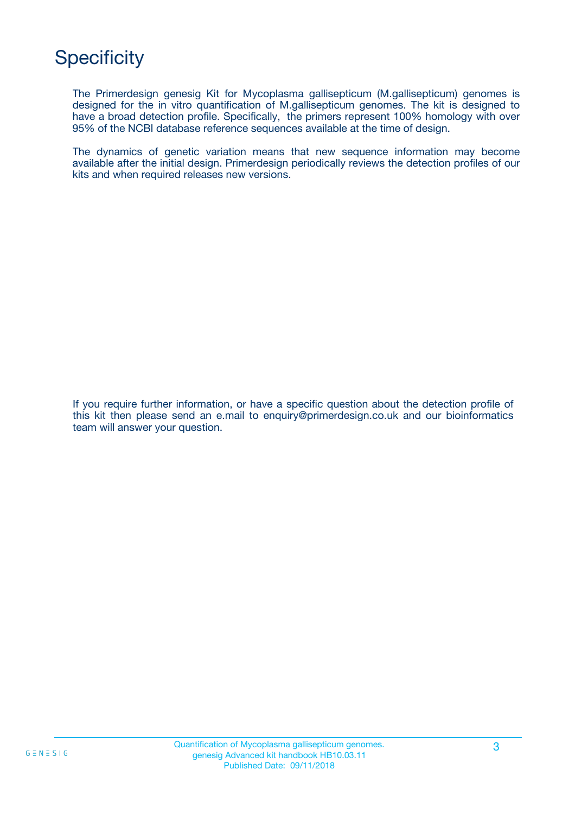# **Specificity**

The Primerdesign genesig Kit for Mycoplasma gallisepticum (M.gallisepticum) genomes is designed for the in vitro quantification of M.gallisepticum genomes. The kit is designed to have a broad detection profile. Specifically, the primers represent 100% homology with over 95% of the NCBI database reference sequences available at the time of design.

The dynamics of genetic variation means that new sequence information may become available after the initial design. Primerdesign periodically reviews the detection profiles of our kits and when required releases new versions.

If you require further information, or have a specific question about the detection profile of this kit then please send an e.mail to enquiry@primerdesign.co.uk and our bioinformatics team will answer your question.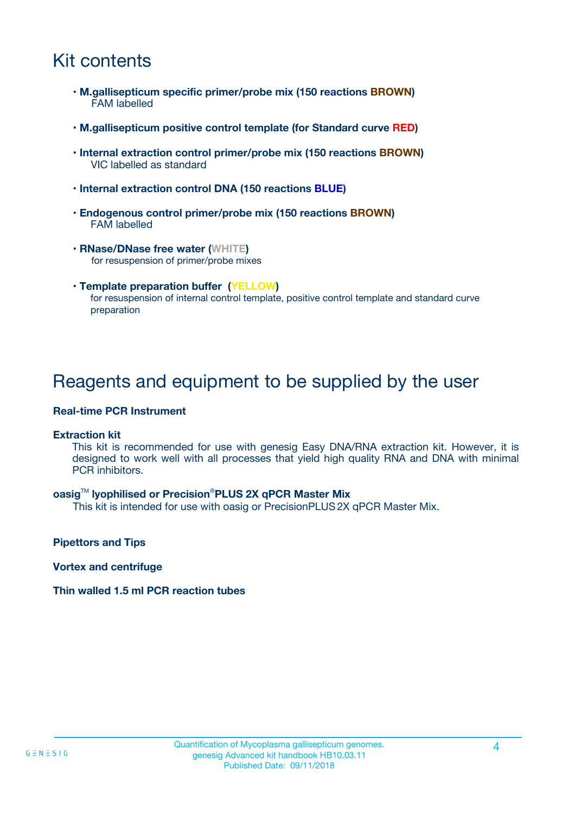### Kit contents

- **M.gallisepticum specific primer/probe mix (150 reactions BROWN)** FAM labelled
- **M.gallisepticum positive control template (for Standard curve RED)**
- **Internal extraction control primer/probe mix (150 reactions BROWN)** VIC labelled as standard
- **Internal extraction control DNA (150 reactions BLUE)**
- **Endogenous control primer/probe mix (150 reactions BROWN)** FAM labelled
- **RNase/DNase free water (WHITE)** for resuspension of primer/probe mixes
- **Template preparation buffer (YELLOW)** for resuspension of internal control template, positive control template and standard curve preparation

### Reagents and equipment to be supplied by the user

#### **Real-time PCR Instrument**

#### **Extraction kit**

This kit is recommended for use with genesig Easy DNA/RNA extraction kit. However, it is designed to work well with all processes that yield high quality RNA and DNA with minimal PCR inhibitors.

#### **oasig**TM **lyophilised or Precision**®**PLUS 2X qPCR Master Mix**

This kit is intended for use with oasig or PrecisionPLUS2X qPCR Master Mix.

**Pipettors and Tips**

**Vortex and centrifuge**

#### **Thin walled 1.5 ml PCR reaction tubes**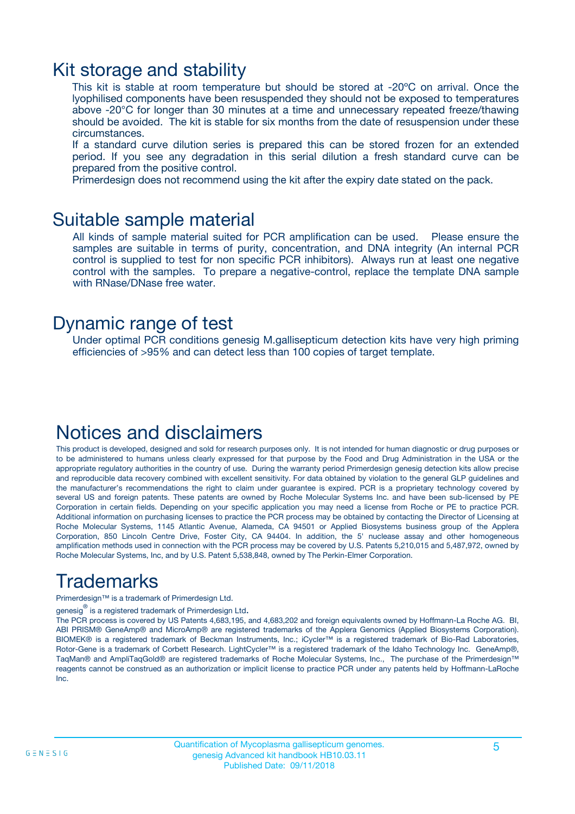### Kit storage and stability

This kit is stable at room temperature but should be stored at -20ºC on arrival. Once the lyophilised components have been resuspended they should not be exposed to temperatures above -20°C for longer than 30 minutes at a time and unnecessary repeated freeze/thawing should be avoided. The kit is stable for six months from the date of resuspension under these circumstances.

If a standard curve dilution series is prepared this can be stored frozen for an extended period. If you see any degradation in this serial dilution a fresh standard curve can be prepared from the positive control.

Primerdesign does not recommend using the kit after the expiry date stated on the pack.

### Suitable sample material

All kinds of sample material suited for PCR amplification can be used. Please ensure the samples are suitable in terms of purity, concentration, and DNA integrity (An internal PCR control is supplied to test for non specific PCR inhibitors). Always run at least one negative control with the samples. To prepare a negative-control, replace the template DNA sample with RNase/DNase free water.

### Dynamic range of test

Under optimal PCR conditions genesig M.gallisepticum detection kits have very high priming efficiencies of >95% and can detect less than 100 copies of target template.

### Notices and disclaimers

This product is developed, designed and sold for research purposes only. It is not intended for human diagnostic or drug purposes or to be administered to humans unless clearly expressed for that purpose by the Food and Drug Administration in the USA or the appropriate regulatory authorities in the country of use. During the warranty period Primerdesign genesig detection kits allow precise and reproducible data recovery combined with excellent sensitivity. For data obtained by violation to the general GLP guidelines and the manufacturer's recommendations the right to claim under guarantee is expired. PCR is a proprietary technology covered by several US and foreign patents. These patents are owned by Roche Molecular Systems Inc. and have been sub-licensed by PE Corporation in certain fields. Depending on your specific application you may need a license from Roche or PE to practice PCR. Additional information on purchasing licenses to practice the PCR process may be obtained by contacting the Director of Licensing at Roche Molecular Systems, 1145 Atlantic Avenue, Alameda, CA 94501 or Applied Biosystems business group of the Applera Corporation, 850 Lincoln Centre Drive, Foster City, CA 94404. In addition, the 5' nuclease assay and other homogeneous amplification methods used in connection with the PCR process may be covered by U.S. Patents 5,210,015 and 5,487,972, owned by Roche Molecular Systems, Inc, and by U.S. Patent 5,538,848, owned by The Perkin-Elmer Corporation.

# Trademarks

Primerdesign™ is a trademark of Primerdesign Ltd.

genesig $^\circledR$  is a registered trademark of Primerdesign Ltd.

The PCR process is covered by US Patents 4,683,195, and 4,683,202 and foreign equivalents owned by Hoffmann-La Roche AG. BI, ABI PRISM® GeneAmp® and MicroAmp® are registered trademarks of the Applera Genomics (Applied Biosystems Corporation). BIOMEK® is a registered trademark of Beckman Instruments, Inc.; iCycler™ is a registered trademark of Bio-Rad Laboratories, Rotor-Gene is a trademark of Corbett Research. LightCycler™ is a registered trademark of the Idaho Technology Inc. GeneAmp®, TaqMan® and AmpliTaqGold® are registered trademarks of Roche Molecular Systems, Inc., The purchase of the Primerdesign™ reagents cannot be construed as an authorization or implicit license to practice PCR under any patents held by Hoffmann-LaRoche Inc.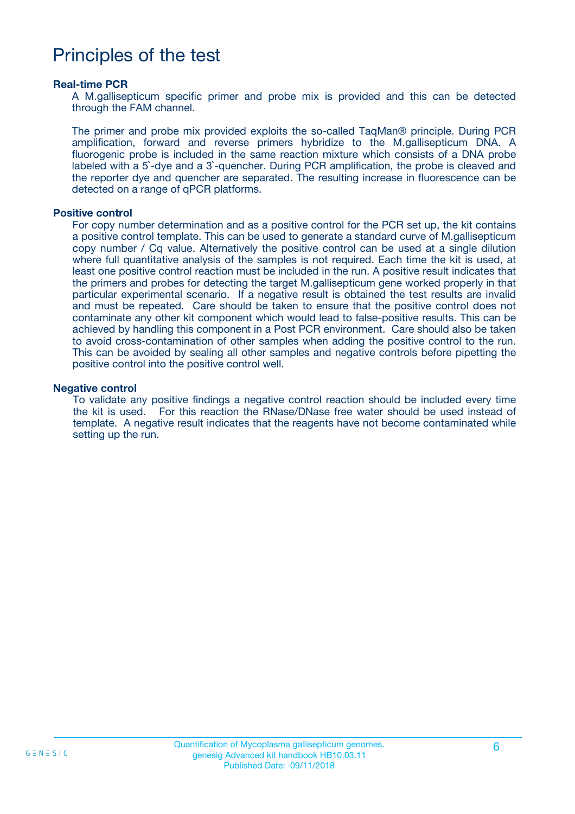### Principles of the test

#### **Real-time PCR**

A M.gallisepticum specific primer and probe mix is provided and this can be detected through the FAM channel.

The primer and probe mix provided exploits the so-called TaqMan® principle. During PCR amplification, forward and reverse primers hybridize to the M.gallisepticum DNA. A fluorogenic probe is included in the same reaction mixture which consists of a DNA probe labeled with a 5`-dye and a 3`-quencher. During PCR amplification, the probe is cleaved and the reporter dye and quencher are separated. The resulting increase in fluorescence can be detected on a range of qPCR platforms.

#### **Positive control**

For copy number determination and as a positive control for the PCR set up, the kit contains a positive control template. This can be used to generate a standard curve of M.gallisepticum copy number / Cq value. Alternatively the positive control can be used at a single dilution where full quantitative analysis of the samples is not required. Each time the kit is used, at least one positive control reaction must be included in the run. A positive result indicates that the primers and probes for detecting the target M.gallisepticum gene worked properly in that particular experimental scenario. If a negative result is obtained the test results are invalid and must be repeated. Care should be taken to ensure that the positive control does not contaminate any other kit component which would lead to false-positive results. This can be achieved by handling this component in a Post PCR environment. Care should also be taken to avoid cross-contamination of other samples when adding the positive control to the run. This can be avoided by sealing all other samples and negative controls before pipetting the positive control into the positive control well.

#### **Negative control**

To validate any positive findings a negative control reaction should be included every time the kit is used. For this reaction the RNase/DNase free water should be used instead of template. A negative result indicates that the reagents have not become contaminated while setting up the run.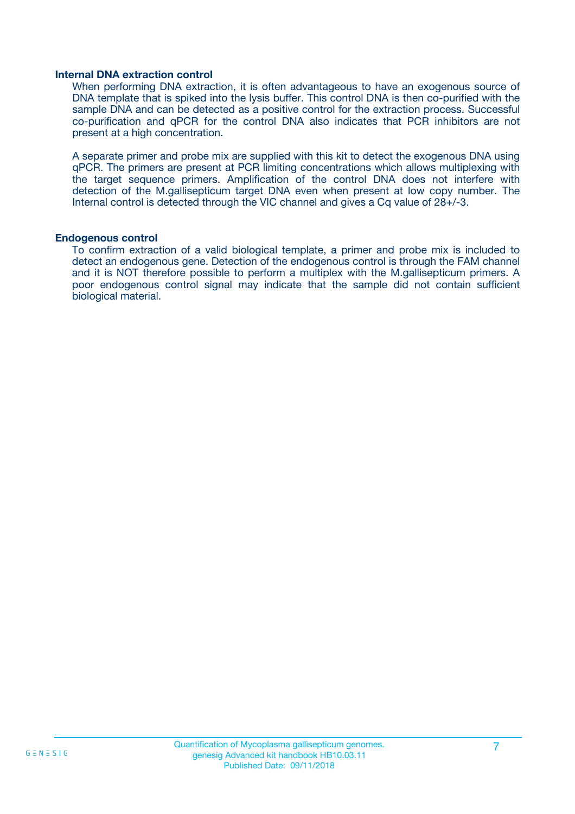#### **Internal DNA extraction control**

When performing DNA extraction, it is often advantageous to have an exogenous source of DNA template that is spiked into the lysis buffer. This control DNA is then co-purified with the sample DNA and can be detected as a positive control for the extraction process. Successful co-purification and qPCR for the control DNA also indicates that PCR inhibitors are not present at a high concentration.

A separate primer and probe mix are supplied with this kit to detect the exogenous DNA using qPCR. The primers are present at PCR limiting concentrations which allows multiplexing with the target sequence primers. Amplification of the control DNA does not interfere with detection of the M.gallisepticum target DNA even when present at low copy number. The Internal control is detected through the VIC channel and gives a Cq value of 28+/-3.

#### **Endogenous control**

To confirm extraction of a valid biological template, a primer and probe mix is included to detect an endogenous gene. Detection of the endogenous control is through the FAM channel and it is NOT therefore possible to perform a multiplex with the M.gallisepticum primers. A poor endogenous control signal may indicate that the sample did not contain sufficient biological material.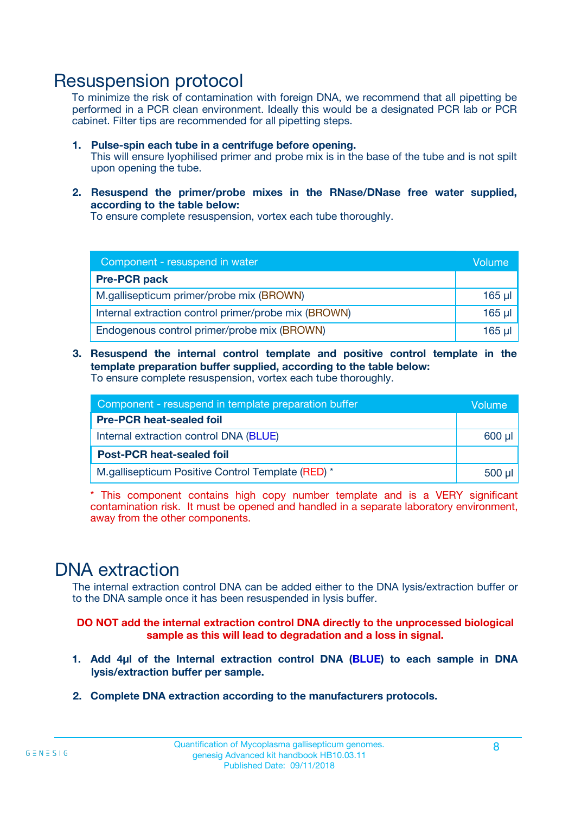### Resuspension protocol

To minimize the risk of contamination with foreign DNA, we recommend that all pipetting be performed in a PCR clean environment. Ideally this would be a designated PCR lab or PCR cabinet. Filter tips are recommended for all pipetting steps.

- **1. Pulse-spin each tube in a centrifuge before opening.** This will ensure lyophilised primer and probe mix is in the base of the tube and is not spilt upon opening the tube.
- **2. Resuspend the primer/probe mixes in the RNase/DNase free water supplied, according to the table below:**

To ensure complete resuspension, vortex each tube thoroughly.

| Component - resuspend in water                       |             |  |
|------------------------------------------------------|-------------|--|
| <b>Pre-PCR pack</b>                                  |             |  |
| M.gallisepticum primer/probe mix (BROWN)             | $165$ µl    |  |
| Internal extraction control primer/probe mix (BROWN) | $165$ $\mu$ |  |
| Endogenous control primer/probe mix (BROWN)          | $165$ µl    |  |

**3. Resuspend the internal control template and positive control template in the template preparation buffer supplied, according to the table below:** To ensure complete resuspension, vortex each tube thoroughly.

| Component - resuspend in template preparation buffer |          |  |  |
|------------------------------------------------------|----------|--|--|
| <b>Pre-PCR heat-sealed foil</b>                      |          |  |  |
| Internal extraction control DNA (BLUE)               |          |  |  |
| <b>Post-PCR heat-sealed foil</b>                     |          |  |  |
| M.gallisepticum Positive Control Template (RED) *    | $500$ µl |  |  |

\* This component contains high copy number template and is a VERY significant contamination risk. It must be opened and handled in a separate laboratory environment, away from the other components.

### DNA extraction

The internal extraction control DNA can be added either to the DNA lysis/extraction buffer or to the DNA sample once it has been resuspended in lysis buffer.

**DO NOT add the internal extraction control DNA directly to the unprocessed biological sample as this will lead to degradation and a loss in signal.**

- **1. Add 4µl of the Internal extraction control DNA (BLUE) to each sample in DNA lysis/extraction buffer per sample.**
- **2. Complete DNA extraction according to the manufacturers protocols.**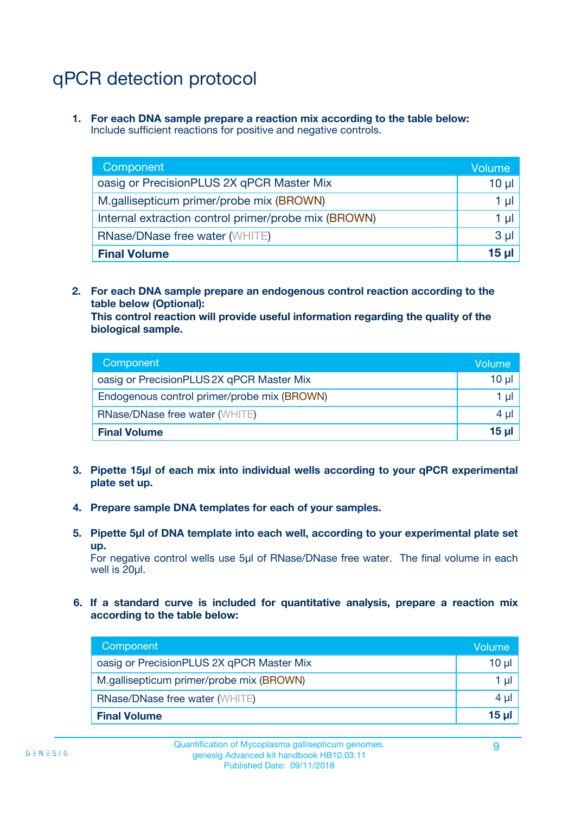# qPCR detection protocol

**1. For each DNA sample prepare a reaction mix according to the table below:** Include sufficient reactions for positive and negative controls.

| Component                                            | Volume   |
|------------------------------------------------------|----------|
| oasig or PrecisionPLUS 2X qPCR Master Mix            | $10 \mu$ |
| M.gallisepticum primer/probe mix (BROWN)             | 1 µl     |
| Internal extraction control primer/probe mix (BROWN) | 1 µl     |
| <b>RNase/DNase free water (WHITE)</b>                | $3 \mu$  |
| <b>Final Volume</b>                                  | 15 µl    |

**2. For each DNA sample prepare an endogenous control reaction according to the table below (Optional):**

**This control reaction will provide useful information regarding the quality of the biological sample.**

| Component                                   | Volume   |
|---------------------------------------------|----------|
| oasig or PrecisionPLUS 2X qPCR Master Mix   | $10 \mu$ |
| Endogenous control primer/probe mix (BROWN) | 1 µI     |
| <b>RNase/DNase free water (WHITE)</b>       | $4 \mu$  |
| <b>Final Volume</b>                         | 15 µl    |

- **3. Pipette 15µl of each mix into individual wells according to your qPCR experimental plate set up.**
- **4. Prepare sample DNA templates for each of your samples.**
- **5. Pipette 5µl of DNA template into each well, according to your experimental plate set up.**

For negative control wells use 5µl of RNase/DNase free water. The final volume in each well is 20ul.

**6. If a standard curve is included for quantitative analysis, prepare a reaction mix according to the table below:**

| Component                                 | Volume          |
|-------------------------------------------|-----------------|
| oasig or PrecisionPLUS 2X qPCR Master Mix | 10 $\mu$        |
| M.gallisepticum primer/probe mix (BROWN)  | 1 µI            |
| <b>RNase/DNase free water (WHITE)</b>     | $4 \mu$         |
| <b>Final Volume</b>                       | 15 <sub>µ</sub> |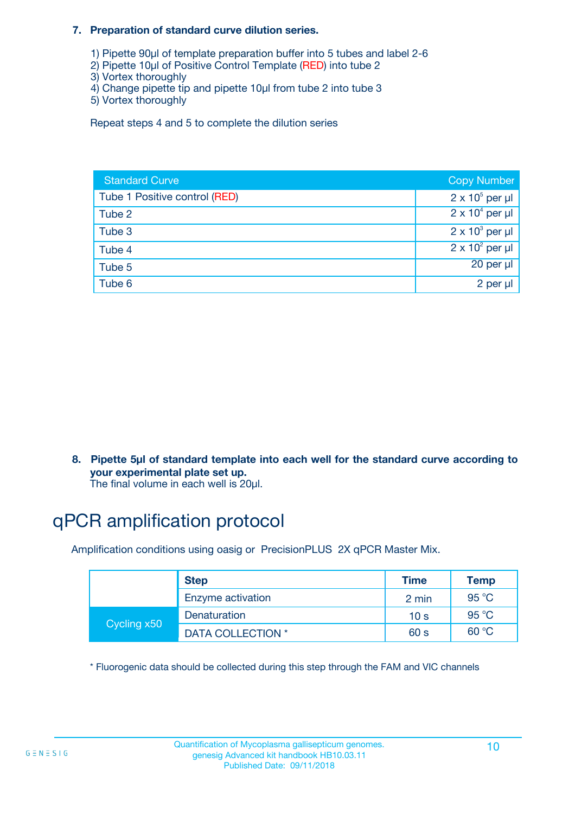#### **7. Preparation of standard curve dilution series.**

- 1) Pipette 90µl of template preparation buffer into 5 tubes and label 2-6
- 2) Pipette 10µl of Positive Control Template (RED) into tube 2
- 3) Vortex thoroughly
- 4) Change pipette tip and pipette 10µl from tube 2 into tube 3
- 5) Vortex thoroughly

Repeat steps 4 and 5 to complete the dilution series

| <b>Standard Curve</b>         | <b>Copy Number</b>     |
|-------------------------------|------------------------|
| Tube 1 Positive control (RED) | $2 \times 10^5$ per µl |
| Tube 2                        | $2 \times 10^4$ per µl |
| Tube 3                        | $2 \times 10^3$ per µl |
| Tube 4                        | $2 \times 10^2$ per µl |
| Tube 5                        | $20$ per $\mu$         |
| Tube 6                        | 2 per µl               |

**8. Pipette 5µl of standard template into each well for the standard curve according to your experimental plate set up.**

#### The final volume in each well is 20µl.

# qPCR amplification protocol

Amplification conditions using oasig or PrecisionPLUS 2X qPCR Master Mix.

|             | <b>Step</b>       | <b>Time</b>     | Temp    |
|-------------|-------------------|-----------------|---------|
|             | Enzyme activation | 2 min           | 95 °C   |
| Cycling x50 | Denaturation      | 10 <sub>s</sub> | 95 $°C$ |
|             | DATA COLLECTION * | 60 s            | 60 °C   |

\* Fluorogenic data should be collected during this step through the FAM and VIC channels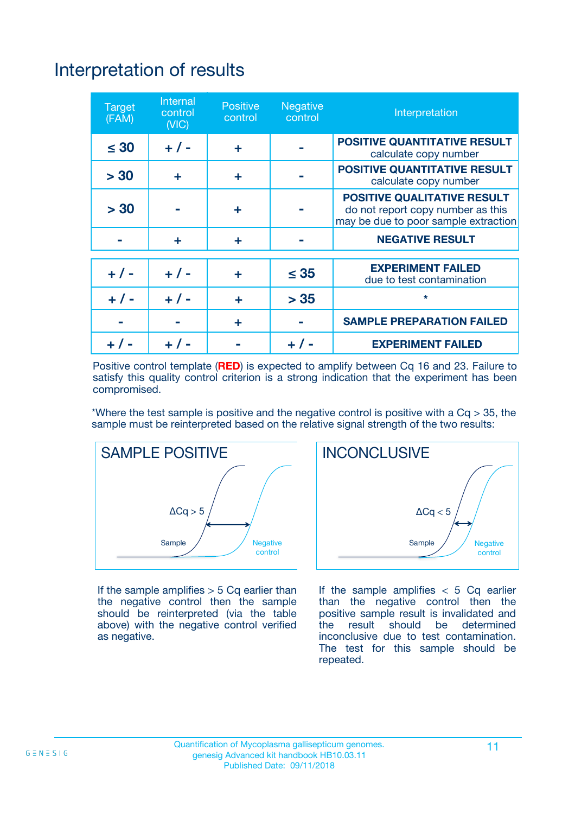# Interpretation of results

| <b>Target</b><br>(FAM) | <b>Internal</b><br>control<br>(NIC) | <b>Positive</b><br>control | <b>Negative</b><br>control | Interpretation                                                                                                  |
|------------------------|-------------------------------------|----------------------------|----------------------------|-----------------------------------------------------------------------------------------------------------------|
| $\leq 30$              | $+ 1 -$                             | ÷                          |                            | <b>POSITIVE QUANTITATIVE RESULT</b><br>calculate copy number                                                    |
| > 30                   | ٠                                   | ÷                          |                            | <b>POSITIVE QUANTITATIVE RESULT</b><br>calculate copy number                                                    |
| > 30                   |                                     | ÷                          |                            | <b>POSITIVE QUALITATIVE RESULT</b><br>do not report copy number as this<br>may be due to poor sample extraction |
|                        | ÷                                   | ÷                          |                            | <b>NEGATIVE RESULT</b>                                                                                          |
| $+ 1 -$                | $+ 1 -$                             | ÷                          | $\leq$ 35                  | <b>EXPERIMENT FAILED</b><br>due to test contamination                                                           |
| $+$ / -                | $+ 1 -$                             | ÷                          | > 35                       | $\star$                                                                                                         |
|                        |                                     | ÷                          |                            | <b>SAMPLE PREPARATION FAILED</b>                                                                                |
|                        |                                     |                            | $+$ /                      | <b>EXPERIMENT FAILED</b>                                                                                        |

Positive control template (**RED**) is expected to amplify between Cq 16 and 23. Failure to satisfy this quality control criterion is a strong indication that the experiment has been compromised.

\*Where the test sample is positive and the negative control is positive with a  $Ca > 35$ , the sample must be reinterpreted based on the relative signal strength of the two results:



If the sample amplifies  $> 5$  Cq earlier than the negative control then the sample should be reinterpreted (via the table above) with the negative control verified as negative.



If the sample amplifies  $< 5$  Cq earlier than the negative control then the positive sample result is invalidated and<br>the result should be determined  $the$  result should be inconclusive due to test contamination. The test for this sample should be repeated.